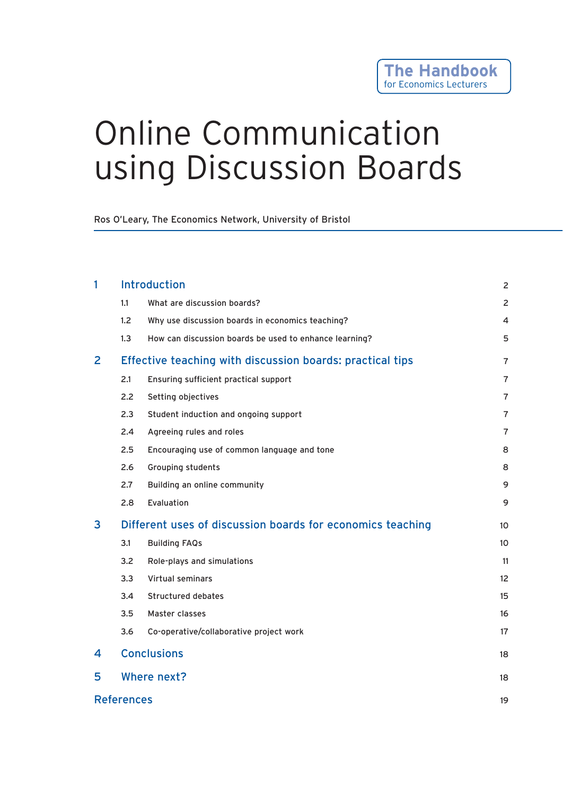# Online Communication using Discussion Boards

Ros O'Leary, The Economics Network, University of Bristol

|   |                                                            |                                                           | $\overline{2}$ |  |
|---|------------------------------------------------------------|-----------------------------------------------------------|----------------|--|
| 1 | <b>Introduction</b>                                        |                                                           |                |  |
|   | 1.1                                                        | What are discussion boards?                               | $\overline{2}$ |  |
|   | 1.2                                                        | Why use discussion boards in economics teaching?          | $\overline{4}$ |  |
|   | 1.3                                                        | How can discussion boards be used to enhance learning?    | 5              |  |
| 2 |                                                            | Effective teaching with discussion boards: practical tips | $\overline{7}$ |  |
|   | 2.1                                                        | Ensuring sufficient practical support                     | $\overline{7}$ |  |
|   | 2.2                                                        | Setting objectives                                        | $\overline{7}$ |  |
|   | 2.3                                                        | Student induction and ongoing support                     | $\overline{7}$ |  |
|   | 2.4                                                        | Agreeing rules and roles                                  | $\overline{7}$ |  |
|   | 2.5                                                        | Encouraging use of common language and tone               | 8              |  |
|   | 2.6                                                        | Grouping students                                         | 8              |  |
|   | 2.7                                                        | Building an online community                              | 9              |  |
|   | 2.8                                                        | Evaluation                                                | 9              |  |
| 3 | Different uses of discussion boards for economics teaching |                                                           |                |  |
|   | 3.1                                                        | <b>Building FAQs</b>                                      | 10             |  |
|   | 3.2                                                        | Role-plays and simulations                                | 11             |  |
|   | 3.3                                                        | <b>Virtual seminars</b>                                   | 12             |  |
|   | 3.4                                                        | <b>Structured debates</b>                                 | 15             |  |
|   | 3.5                                                        | Master classes                                            | 16             |  |
|   | 3.6                                                        | Co-operative/collaborative project work                   | 17             |  |
| 4 | <b>Conclusions</b>                                         |                                                           | 18             |  |
| 5 | Where next?                                                |                                                           | 18             |  |
|   | <b>References</b>                                          |                                                           | 19             |  |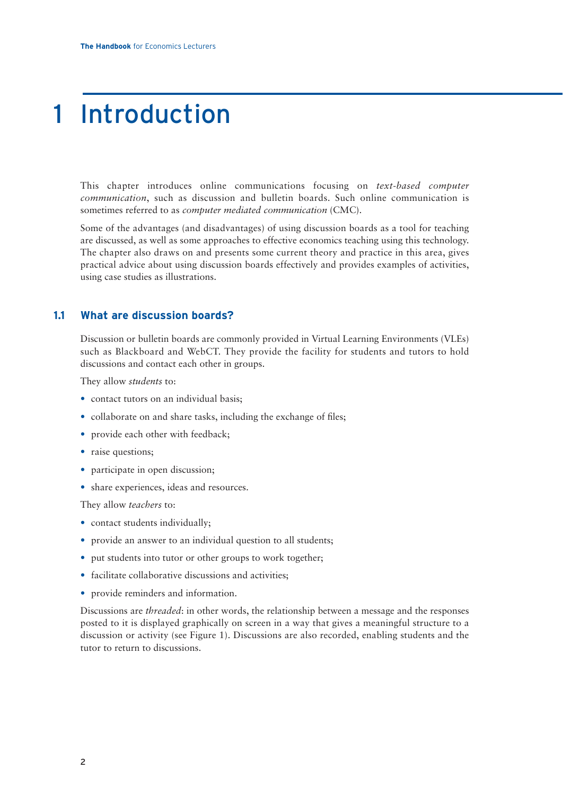## 1 Introduction

This chapter introduces online communications focusing on *text-based computer communication*, such as discussion and bulletin boards. Such online communication is sometimes referred to as *computer mediated communication* (CMC).

Some of the advantages (and disadvantages) of using discussion boards as a tool for teaching are discussed, as well as some approaches to effective economics teaching using this technology. The chapter also draws on and presents some current theory and practice in this area, gives practical advice about using discussion boards effectively and provides examples of activities, using case studies as illustrations.

### **1.1 What are discussion boards?**

Discussion or bulletin boards are commonly provided in Virtual Learning Environments (VLEs) such as Blackboard and WebCT. They provide the facility for students and tutors to hold discussions and contact each other in groups.

They allow *students* to:

- contact tutors on an individual basis;
- collaborate on and share tasks, including the exchange of files;
- provide each other with feedback;
- raise questions;
- participate in open discussion;
- share experiences, ideas and resources.

They allow *teachers* to:

- contact students individually;
- provide an answer to an individual question to all students;
- put students into tutor or other groups to work together;
- facilitate collaborative discussions and activities;
- provide reminders and information.

Discussions are *threaded*: in other words, the relationship between a message and the responses posted to it is displayed graphically on screen in a way that gives a meaningful structure to a discussion or activity (see Figure 1). Discussions are also recorded, enabling students and the tutor to return to discussions.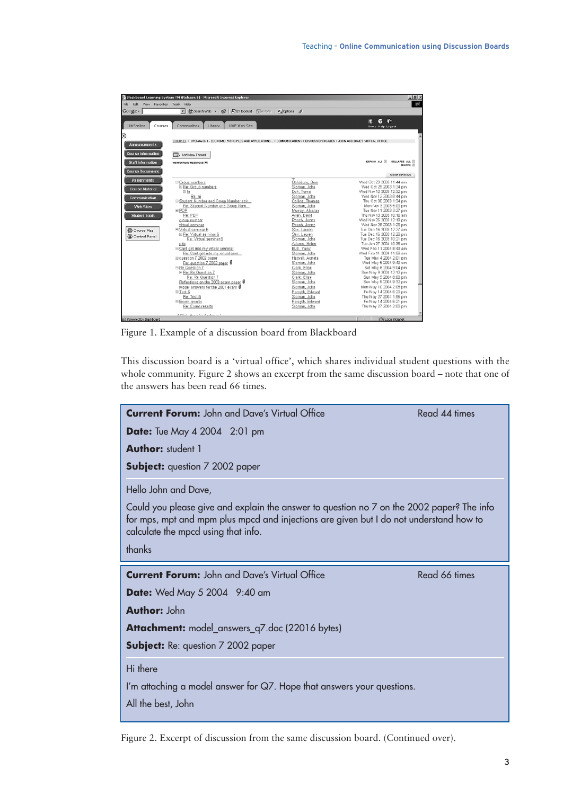|                                                                                                                                          | G Blackboard Learning System TM (Release G) - Microsoft Internet Explorer                                                                                                                                                                                                                                                                                                                                                                                                                                                                                                                                                                                           |                                                                                                                                                                                                                                                                                                                                                                                                                                                          | $-10x$                                                                                                                                                                                                                                                                                                                                                                                                                                                                                                                                                                                                                                                                                                                                                   |
|------------------------------------------------------------------------------------------------------------------------------------------|---------------------------------------------------------------------------------------------------------------------------------------------------------------------------------------------------------------------------------------------------------------------------------------------------------------------------------------------------------------------------------------------------------------------------------------------------------------------------------------------------------------------------------------------------------------------------------------------------------------------------------------------------------------------|----------------------------------------------------------------------------------------------------------------------------------------------------------------------------------------------------------------------------------------------------------------------------------------------------------------------------------------------------------------------------------------------------------------------------------------------------------|----------------------------------------------------------------------------------------------------------------------------------------------------------------------------------------------------------------------------------------------------------------------------------------------------------------------------------------------------------------------------------------------------------------------------------------------------------------------------------------------------------------------------------------------------------------------------------------------------------------------------------------------------------------------------------------------------------------------------------------------------------|
| Edit View Favorites Tools Help<br>File                                                                                                   |                                                                                                                                                                                                                                                                                                                                                                                                                                                                                                                                                                                                                                                                     |                                                                                                                                                                                                                                                                                                                                                                                                                                                          | 1992                                                                                                                                                                                                                                                                                                                                                                                                                                                                                                                                                                                                                                                                                                                                                     |
| Google -                                                                                                                                 | 绝Search Web + 图<br>P24 blocked 图 AutoFill<br>ᆔ                                                                                                                                                                                                                                                                                                                                                                                                                                                                                                                                                                                                                      | <b>Rui Options</b>                                                                                                                                                                                                                                                                                                                                                                                                                                       |                                                                                                                                                                                                                                                                                                                                                                                                                                                                                                                                                                                                                                                                                                                                                          |
| <b>UWEonline</b><br>Courses                                                                                                              | UWE Web Site<br>Communities<br><b>Library</b>                                                                                                                                                                                                                                                                                                                                                                                                                                                                                                                                                                                                                       |                                                                                                                                                                                                                                                                                                                                                                                                                                                          | $\bullet$<br>m<br>m<br>Home Help Logout                                                                                                                                                                                                                                                                                                                                                                                                                                                                                                                                                                                                                                                                                                                  |
| <b>Announcements</b>                                                                                                                     | COURSES > UPENAAGH - ECONOMIC PRINCIPLES AND APPLICATIONS > COMMUNICATIONS > DISCUSSION BOARDS > JOHN AND DAVES VIRTUAL OFFICE                                                                                                                                                                                                                                                                                                                                                                                                                                                                                                                                      |                                                                                                                                                                                                                                                                                                                                                                                                                                                          |                                                                                                                                                                                                                                                                                                                                                                                                                                                                                                                                                                                                                                                                                                                                                          |
| <b>Course Information</b><br><b>Staff Information</b>                                                                                    | <b>Dearly May Thread</b><br><b>VEW UNREAD MESSAGES IF</b>                                                                                                                                                                                                                                                                                                                                                                                                                                                                                                                                                                                                           |                                                                                                                                                                                                                                                                                                                                                                                                                                                          | EXPAND ALL R<br>COLLAPSE ALL                                                                                                                                                                                                                                                                                                                                                                                                                                                                                                                                                                                                                                                                                                                             |
| <b>Course Documents</b>                                                                                                                  |                                                                                                                                                                                                                                                                                                                                                                                                                                                                                                                                                                                                                                                                     |                                                                                                                                                                                                                                                                                                                                                                                                                                                          | SEARCH [3]<br>SHOW OPTIONS                                                                                                                                                                                                                                                                                                                                                                                                                                                                                                                                                                                                                                                                                                                               |
| <b>Assignments</b><br><b>Course Material</b><br><b>Communication</b><br>Web Sites<br><b>Student Tools</b><br>Course Map<br>Control Panel | □ Group numbers<br>E Re: Group numbers<br>日 hi<br>Re: hi<br>E Student Number and Group Number ack<br>Re: Student Number and Group Num<br>$E$ PDP<br>Re: PDP<br>group number<br>virtual seminar<br>E Virtual seminar 6<br>E Re: Virtual seminar 6<br>Re: Virtual seminar 6<br>pdp<br>E Cant get into my virtual seminar<br>Re: Cant get into my virtual sem<br>El guestion 7 2002 paper<br>Re: question 7 2002 paper<br>□ Re Question 7<br>E Re: Re Question 7<br>Re: Re Question 7<br>Reflections on the 2003 exam paper<br>Model answers for the 2001 exam<br>日 Test 6<br>Re: Test 6<br>Exam results<br>Re: Exam results<br>J. Official Islamo, fine Burchismo, I. | Salisbury, Sam<br>Sloman, John<br>Doh. Tuma<br>Sloman, John<br>Collins, Thomas<br>Sloman, John<br>Murray, Alastair<br>Allen, David<br>Roach, Jenny<br>Roach, Jenny<br>San, Lauren<br>San, Lauren<br>Sloman, John<br>Adams, Helen<br>Butt, Yusuf<br>Sloman, John<br>Hedvall, Agneta<br>Sloman, John<br>Clark, Elise<br>Sloman, John<br>Clark, Elise<br>Sloman, John<br>Sloman, John<br>Forsyth, Edward<br>Sloman, John<br>Forsyth, Edward<br>Sloman, John | Wed Oct 29 2003 11:44 am<br>Wed Oct 29 2003 1:34 pm<br>Wed Nov 12 2003 12:32 pm<br>Wed Nov 12 2003 8:44 pm<br>Thu Oct 30 2003 1:34 pm<br>Mon Nov 3 2003 5:00 pm<br>Tue Nov 11 2003 3:27 pm<br>Thu Nov 13 2003 10:16 am<br>Wed Nov 26 2003 12:19 pm<br>Wed Nov 26 2003 1:26 pm<br>Tue Dec 16 2003 12:27 am<br>Tue Dec 16 2003 12:20 pm<br>Tue Dec 16 2003 10:21 pm<br>Tue Jan 27 2004 10:36 am<br>Wed Feb 11 2004 8:43 am<br>Wed Feb 11 2004 11:59 am<br>Tue May 4 2004 2:01 pm<br>Wed May 5 2004 9:40 am<br>Sat May 8 2004 9:04 pm<br>Sun May 9 2004 12:12 pm<br>Sun May 9 2004 8:00 pm<br>Sun May 9 2004 9:32 pm<br>Mon May 10 2004 2:08 pm<br>Fri May 14 2004 6:20 pm<br>Thu May 27 2004 1:56 pm<br>Fri May 14 2004 6:21 pm<br>Thu May 27 2004 2:00 pm |

Figure 1. Example of a discussion board from Blackboard

This discussion board is a 'virtual office', which shares individual student questions with the whole community. Figure 2 shows an excerpt from the same discussion board – note that one of the answers has been read 66 times.



Figure 2. Excerpt of discussion from the same discussion board. (Continued over).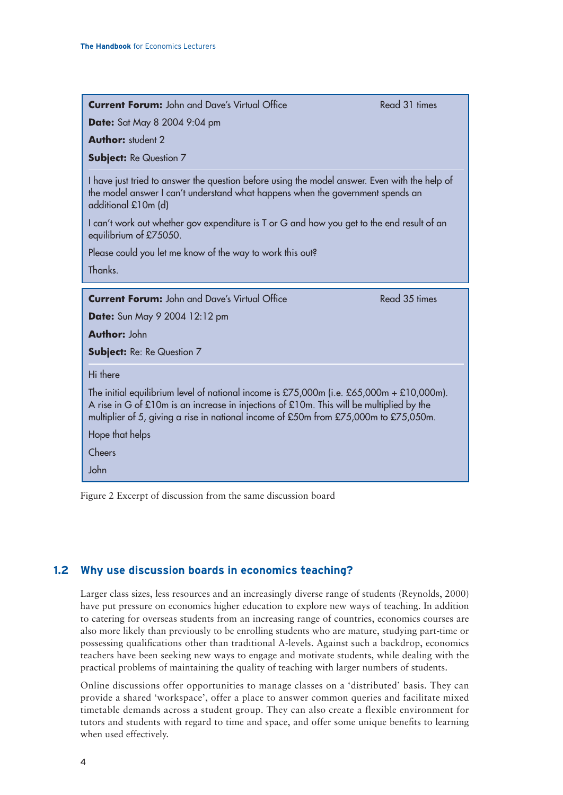| <b>Current Forum:</b> John and Dave's Virtual Office |  |  |  |  |  |
|------------------------------------------------------|--|--|--|--|--|
|------------------------------------------------------|--|--|--|--|--|

**Date:** Sat May 8 2004 9:04 pm

**Author:** student 2

**Subject: Re Question 7** 

I have just tried to answer the question before using the model answer. Even with the help of the model answer I can't understand what happens when the government spends an additional £10m (d)

I can't work out whether gov expenditure is T or G and how you get to the end result of an equilibrium of £75050.

Please could you let me know of the way to work this out?

Thanks.

**Current Forum:** John and Dave's Virtual Office Read 35 times

**Date:** Sun May 9 2004 12:12 pm

**Author:** John

**Subject:** Re: Re Question 7

Hi there

The initial equilibrium level of national income is £75,000m (i.e. £65,000m + £10,000m). A rise in G of £10m is an increase in injections of £10m. This will be multiplied by the multiplier of 5, giving a rise in national income of £50m from £75,000m to £75,050m.

Hope that helps

Cheers

John

Figure 2 Excerpt of discussion from the same discussion board

### **1.2 Why use discussion boards in economics teaching?**

Larger class sizes, less resources and an increasingly diverse range of students (Reynolds, 2000) have put pressure on economics higher education to explore new ways of teaching. In addition to catering for overseas students from an increasing range of countries, economics courses are also more likely than previously to be enrolling students who are mature, studying part-time or possessing qualifications other than traditional A-levels. Against such a backdrop, economics teachers have been seeking new ways to engage and motivate students, while dealing with the practical problems of maintaining the quality of teaching with larger numbers of students.

Online discussions offer opportunities to manage classes on a 'distributed' basis. They can provide a shared 'workspace', offer a place to answer common queries and facilitate mixed timetable demands across a student group. They can also create a flexible environment for tutors and students with regard to time and space, and offer some unique benefits to learning when used effectively.

Read 31 times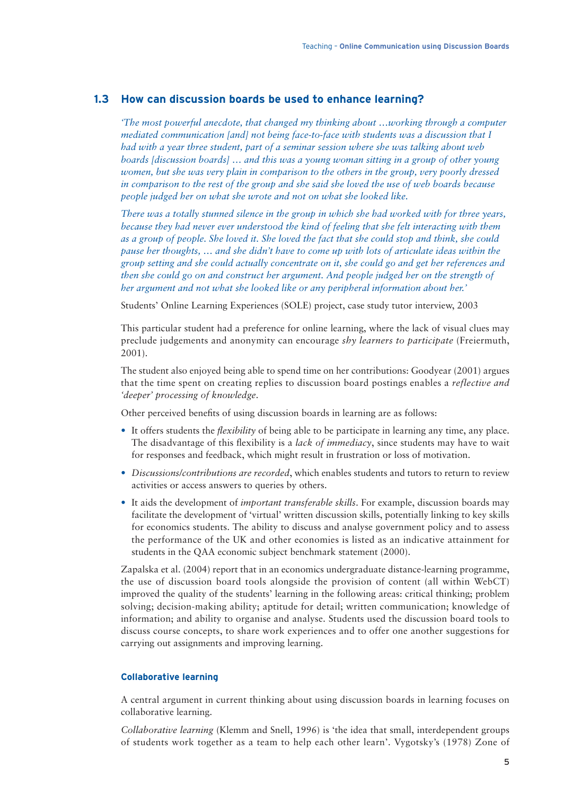### **1.3 How can discussion boards be used to enhance learning?**

*'The most powerful anecdote, that changed my thinking about …working through a computer mediated communication [and] not being face-to-face with students was a discussion that I had with a year three student, part of a seminar session where she was talking about web boards [discussion boards] … and this was a young woman sitting in a group of other young women, but she was very plain in comparison to the others in the group, very poorly dressed in comparison to the rest of the group and she said she loved the use of web boards because people judged her on what she wrote and not on what she looked like.*

*There was a totally stunned silence in the group in which she had worked with for three years, because they had never ever understood the kind of feeling that she felt interacting with them as a group of people. She loved it. She loved the fact that she could stop and think, she could pause her thoughts, … and she didn't have to come up with lots of articulate ideas within the group setting and she could actually concentrate on it, she could go and get her references and then she could go on and construct her argument. And people judged her on the strength of her argument and not what she looked like or any peripheral information about her.'*

Students' Online Learning Experiences (SOLE) project, case study tutor interview, 2003

This particular student had a preference for online learning, where the lack of visual clues may preclude judgements and anonymity can encourage *shy learners to participate* (Freiermuth, 2001).

The student also enjoyed being able to spend time on her contributions: Goodyear (2001) argues that the time spent on creating replies to discussion board postings enables a *reflective and 'deeper' processing of knowledge*.

Other perceived benefits of using discussion boards in learning are as follows:

- It offers students the *flexibility* of being able to be participate in learning any time, any place. The disadvantage of this flexibility is a *lack of immediacy*, since students may have to wait for responses and feedback, which might result in frustration or loss of motivation.
- *Discussions/contributions are recorded*, which enables students and tutors to return to review activities or access answers to queries by others.
- It aids the development of *important transferable skills*. For example, discussion boards may facilitate the development of 'virtual' written discussion skills, potentially linking to key skills for economics students. The ability to discuss and analyse government policy and to assess the performance of the UK and other economies is listed as an indicative attainment for students in the QAA economic subject benchmark statement (2000).

Zapalska et al. (2004) report that in an economics undergraduate distance-learning programme, the use of discussion board tools alongside the provision of content (all within WebCT) improved the quality of the students' learning in the following areas: critical thinking; problem solving; decision-making ability; aptitude for detail; written communication; knowledge of information; and ability to organise and analyse. Students used the discussion board tools to discuss course concepts, to share work experiences and to offer one another suggestions for carrying out assignments and improving learning.

#### **Collaborative learning**

A central argument in current thinking about using discussion boards in learning focuses on collaborative learning.

*Collaborative learning* (Klemm and Snell, 1996) is 'the idea that small, interdependent groups of students work together as a team to help each other learn'. Vygotsky's (1978) Zone of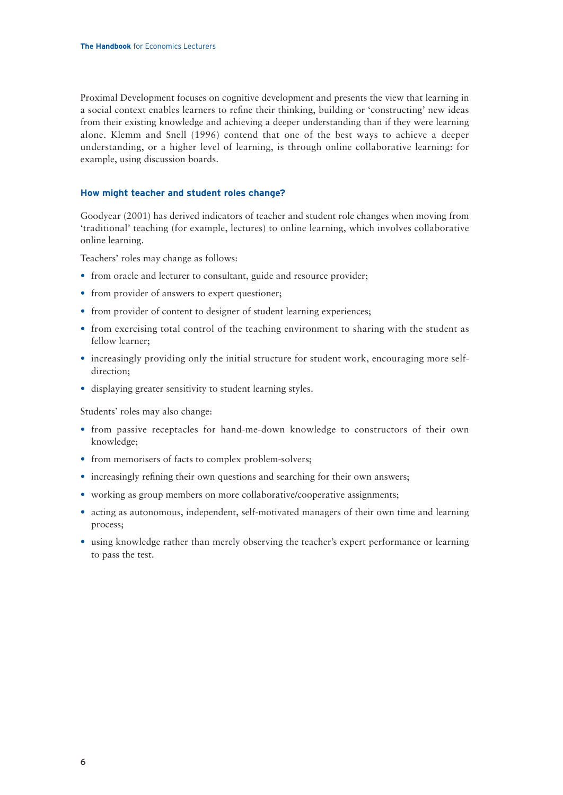Proximal Development focuses on cognitive development and presents the view that learning in a social context enables learners to refine their thinking, building or 'constructing' new ideas from their existing knowledge and achieving a deeper understanding than if they were learning alone. Klemm and Snell (1996) contend that one of the best ways to achieve a deeper understanding, or a higher level of learning, is through online collaborative learning: for example, using discussion boards.

#### **How might teacher and student roles change?**

Goodyear (2001) has derived indicators of teacher and student role changes when moving from 'traditional' teaching (for example, lectures) to online learning, which involves collaborative online learning.

Teachers' roles may change as follows:

- from oracle and lecturer to consultant, guide and resource provider;
- from provider of answers to expert questioner;
- from provider of content to designer of student learning experiences;
- from exercising total control of the teaching environment to sharing with the student as fellow learner;
- increasingly providing only the initial structure for student work, encouraging more selfdirection;
- displaying greater sensitivity to student learning styles.

Students' roles may also change:

- from passive receptacles for hand-me-down knowledge to constructors of their own knowledge;
- from memorisers of facts to complex problem-solvers;
- increasingly refining their own questions and searching for their own answers;
- working as group members on more collaborative/cooperative assignments;
- acting as autonomous, independent, self-motivated managers of their own time and learning process;
- using knowledge rather than merely observing the teacher's expert performance or learning to pass the test.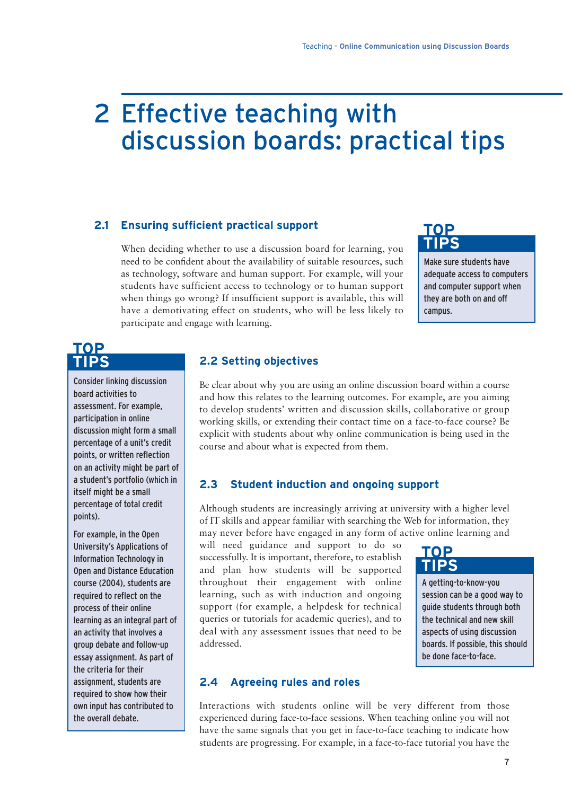## 2 Effective teaching with discussion boards: practical tips

### **2.1 Ensuring sufficient practical support**

When deciding whether to use a discussion board for learning, you need to be confident about the availability of suitable resources, such as technology, software and human support. For example, will your students have sufficient access to technology or to human support when things go wrong? If insufficient support is available, this will have a demotivating effect on students, who will be less likely to participate and engage with learning.

### **TOP TIPS**

Make sure students have adequate access to computers and computer support when they are both on and off campus.

### **TOP TIPS**

Consider linking discussion board activities to assessment. For example, participation in online discussion might form a small percentage of a unit's credit points, or written reflection on an activity might be part of a student's portfolio (which in itself might be a small percentage of total credit points).

For example, in the Open University's Applications of Information Technology in Open and Distance Education course (2004), students are required to reflect on the process of their online learning as an integral part of an activity that involves a group debate and follow-up essay assignment. As part of the criteria for their assignment, students are required to show how their own input has contributed to the overall debate.

### **2.2 Setting objectives**

Be clear about why you are using an online discussion board within a course and how this relates to the learning outcomes. For example, are you aiming to develop students' written and discussion skills, collaborative or group working skills, or extending their contact time on a face-to-face course? Be explicit with students about why online communication is being used in the course and about what is expected from them.

### **2.3 Student induction and ongoing support**

Although students are increasingly arriving at university with a higher level of IT skills and appear familiar with searching the Web for information, they may never before have engaged in any form of active online learning and

will need guidance and support to do so successfully. It is important, therefore, to establish and plan how students will be supported throughout their engagement with online learning, such as with induction and ongoing support (for example, a helpdesk for technical queries or tutorials for academic queries), and to deal with any assessment issues that need to be addressed.

## **TOP TIPS**

A getting-to-know-you session can be a good way to guide students through both the technical and new skill aspects of using discussion boards. If possible, this should be done face-to-face.

### **2.4 Agreeing rules and roles**

Interactions with students online will be very different from those experienced during face-to-face sessions. When teaching online you will not have the same signals that you get in face-to-face teaching to indicate how students are progressing. For example, in a face-to-face tutorial you have the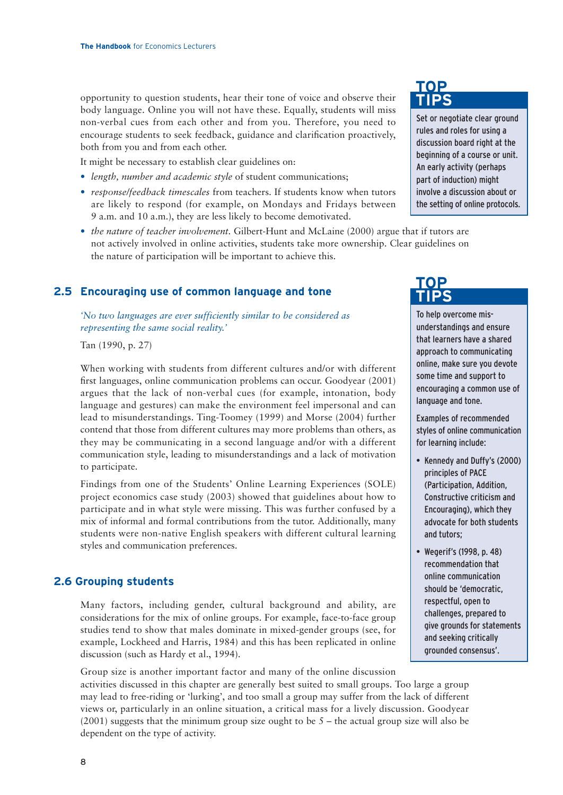opportunity to question students, hear their tone of voice and observe their body language. Online you will not have these. Equally, students will miss non-verbal cues from each other and from you. Therefore, you need to encourage students to seek feedback, guidance and clarification proactively, both from you and from each other.

It might be necessary to establish clear guidelines on:

- *length, number and academic style* of student communications;
- *response/feedback timescales* from teachers. If students know when tutors are likely to respond (for example, on Mondays and Fridays between 9 a.m. and 10 a.m.), they are less likely to become demotivated.
- *the nature of teacher involvement.* Gilbert-Hunt and McLaine (2000) argue that if tutors are not actively involved in online activities, students take more ownership. Clear guidelines on the nature of participation will be important to achieve this.

### **2.5 Encouraging use of common language and tone**

*'No two languages are ever sufficiently similar to be considered as representing the same social reality.'*

Tan (1990, p. 27)

When working with students from different cultures and/or with different first languages, online communication problems can occur. Goodyear (2001) argues that the lack of non-verbal cues (for example, intonation, body language and gestures) can make the environment feel impersonal and can lead to misunderstandings. Ting-Toomey (1999) and Morse (2004) further contend that those from different cultures may more problems than others, as they may be communicating in a second language and/or with a different communication style, leading to misunderstandings and a lack of motivation to participate.

Findings from one of the Students' Online Learning Experiences (SOLE) project economics case study (2003) showed that guidelines about how to participate and in what style were missing. This was further confused by a mix of informal and formal contributions from the tutor. Additionally, many students were non-native English speakers with different cultural learning styles and communication preferences.

### **2.6 Grouping students**

Many factors, including gender, cultural background and ability, are considerations for the mix of online groups. For example, face-to-face group studies tend to show that males dominate in mixed-gender groups (see, for example, Lockheed and Harris, 1984) and this has been replicated in online discussion (such as Hardy et al., 1994).

Group size is another important factor and many of the online discussion activities discussed in this chapter are generally best suited to small groups. Too large a group may lead to free-riding or 'lurking', and too small a group may suffer from the lack of different views or, particularly in an online situation, a critical mass for a lively discussion. Goodyear  $(2001)$  suggests that the minimum group size ought to be  $5$  – the actual group size will also be dependent on the type of activity.

## **TOP TIPS**

Set or negotiate clear ground rules and roles for using a discussion board right at the beginning of a course or unit. An early activity (perhaps part of induction) might involve a discussion about or the setting of online protocols.

## **TOP TIPS**

To help overcome misunderstandings and ensure that learners have a shared approach to communicating online, make sure you devote some time and support to encouraging a common use of language and tone.

Examples of recommended styles of online communication for learning include:

- Kennedy and Duffy's (2000) principles of PACE (Participation, Addition, Constructive criticism and Encouraging), which they advocate for both students and tutors;
- Wegerif's (1998, p. 48) recommendation that online communication should be 'democratic, respectful, open to challenges, prepared to give grounds for statements and seeking critically grounded consensus'.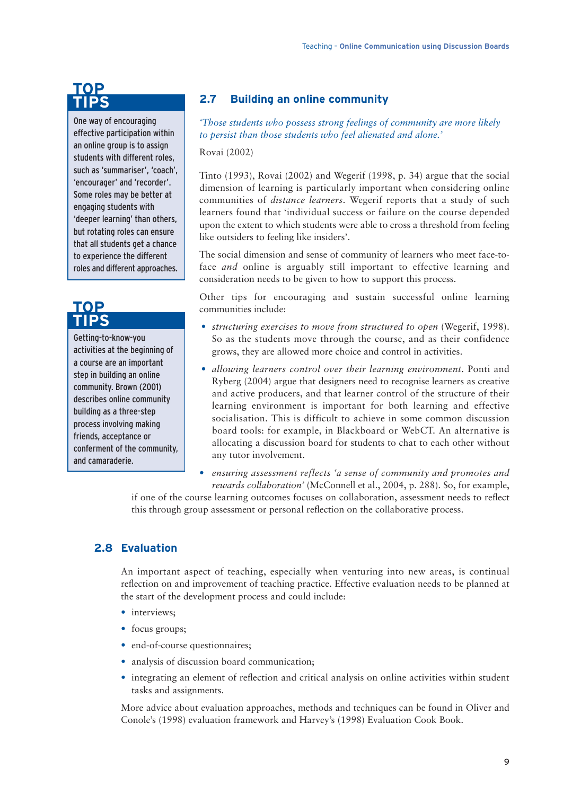### **TOP TIPS**

One way of encouraging effective participation within an online group is to assign students with different roles, such as 'summariser', 'coach', 'encourager' and 'recorder'. Some roles may be better at engaging students with 'deeper learning' than others, but rotating roles can ensure that all students get a chance to experience the different roles and different approaches.

### **TOP TIPS**

Getting-to-know-you activities at the beginning of a course are an important step in building an online community. Brown (2001) describes online community building as a three-step process involving making friends, acceptance or conferment of the community, and camaraderie.

### **2.7 Building an online community**

*'Those students who possess strong feelings of community are more likely to persist than those students who feel alienated and alone.'*

#### Rovai (2002)

Tinto (1993), Rovai (2002) and Wegerif (1998, p. 34) argue that the social dimension of learning is particularly important when considering online communities of *distance learners*. Wegerif reports that a study of such learners found that 'individual success or failure on the course depended upon the extent to which students were able to cross a threshold from feeling like outsiders to feeling like insiders'.

The social dimension and sense of community of learners who meet face-toface *and* online is arguably still important to effective learning and consideration needs to be given to how to support this process.

Other tips for encouraging and sustain successful online learning communities include:

- *structuring exercises to move from structured to open* (Wegerif, 1998). So as the students move through the course, and as their confidence grows, they are allowed more choice and control in activities.
- *allowing learners control over their learning environment*. Ponti and Ryberg (2004) argue that designers need to recognise learners as creative and active producers, and that learner control of the structure of their learning environment is important for both learning and effective socialisation. This is difficult to achieve in some common discussion board tools: for example, in Blackboard or WebCT. An alternative is allocating a discussion board for students to chat to each other without any tutor involvement.
- *ensuring assessment reflects 'a sense of community and promotes and rewards collaboration'* (McConnell et al., 2004, p. 288). So, for example,

if one of the course learning outcomes focuses on collaboration, assessment needs to reflect this through group assessment or personal reflection on the collaborative process.

### **2.8 Evaluation**

An important aspect of teaching, especially when venturing into new areas, is continual reflection on and improvement of teaching practice. Effective evaluation needs to be planned at the start of the development process and could include:

- interviews;
- focus groups;
- end-of-course questionnaires;
- analysis of discussion board communication;
- integrating an element of reflection and critical analysis on online activities within student tasks and assignments.

More advice about evaluation approaches, methods and techniques can be found in Oliver and Conole's (1998) evaluation framework and Harvey's (1998) Evaluation Cook Book.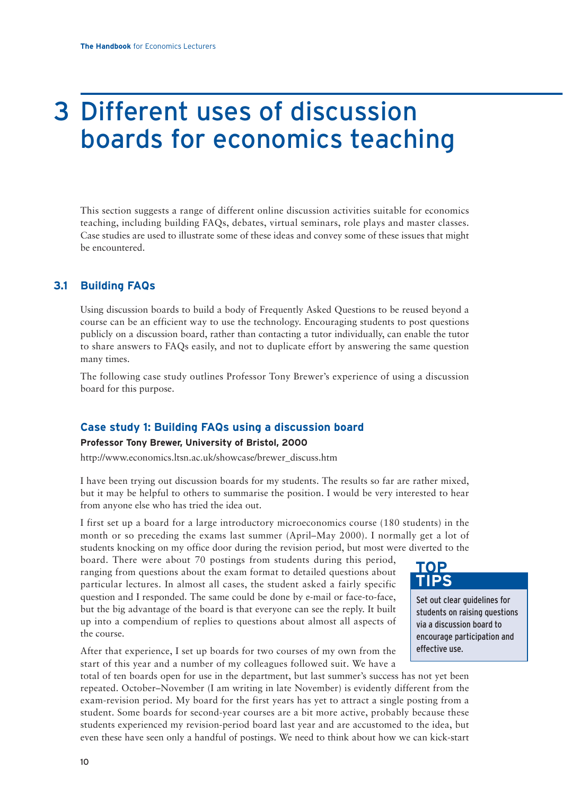## 3 Different uses of discussion boards for economics teaching

This section suggests a range of different online discussion activities suitable for economics teaching, including building FAQs, debates, virtual seminars, role plays and master classes. Case studies are used to illustrate some of these ideas and convey some of these issues that might be encountered.

### **3.1 Building FAQs**

Using discussion boards to build a body of Frequently Asked Questions to be reused beyond a course can be an efficient way to use the technology. Encouraging students to post questions publicly on a discussion board, rather than contacting a tutor individually, can enable the tutor to share answers to FAQs easily, and not to duplicate effort by answering the same question many times.

The following case study outlines Professor Tony Brewer's experience of using a discussion board for this purpose.

### **Case study 1: Building FAQs using a discussion board**

### **Professor Tony Brewer, University of Bristol, 2000**

http://www.economics.ltsn.ac.uk/showcase/brewer\_discuss.htm

I have been trying out discussion boards for my students. The results so far are rather mixed, but it may be helpful to others to summarise the position. I would be very interested to hear from anyone else who has tried the idea out.

I first set up a board for a large introductory microeconomics course (180 students) in the month or so preceding the exams last summer (April–May 2000). I normally get a lot of students knocking on my office door during the revision period, but most were diverted to the

board. There were about 70 postings from students during this period, ranging from questions about the exam format to detailed questions about particular lectures. In almost all cases, the student asked a fairly specific question and I responded. The same could be done by e-mail or face-to-face, but the big advantage of the board is that everyone can see the reply. It built up into a compendium of replies to questions about almost all aspects of the course.

After that experience, I set up boards for two courses of my own from the start of this year and a number of my colleagues followed suit. We have a

total of ten boards open for use in the department, but last summer's success has not yet been repeated. October–November (I am writing in late November) is evidently different from the exam-revision period. My board for the first years has yet to attract a single posting from a student. Some boards for second-year courses are a bit more active, probably because these students experienced my revision-period board last year and are accustomed to the idea, but even these have seen only a handful of postings. We need to think about how we can kick-start



Set out clear guidelines for students on raising questions via a discussion board to encourage participation and effective use.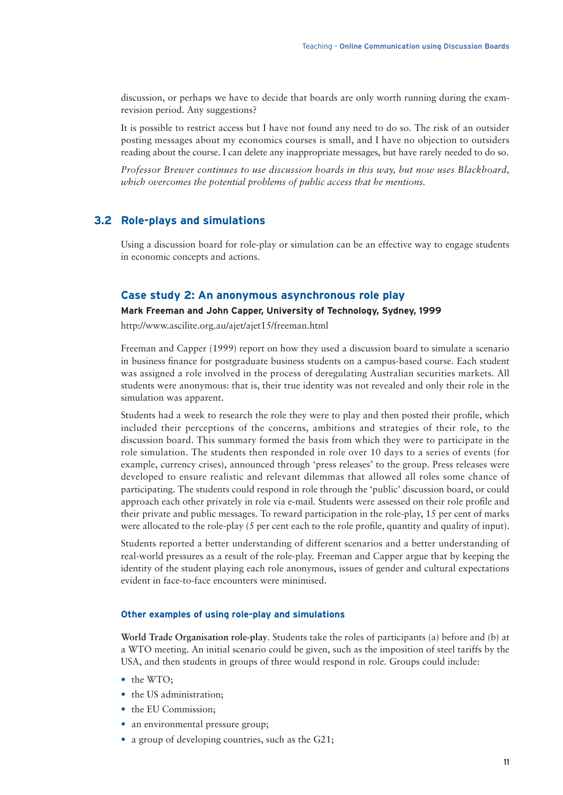discussion, or perhaps we have to decide that boards are only worth running during the examrevision period. Any suggestions?

It is possible to restrict access but I have not found any need to do so. The risk of an outsider posting messages about my economics courses is small, and I have no objection to outsiders reading about the course. I can delete any inappropriate messages, but have rarely needed to do so.

*Professor Brewer continues to use discussion boards in this way, but now uses Blackboard, which overcomes the potential problems of public access that he mentions.*

### **3.2 Role-plays and simulations**

Using a discussion board for role-play or simulation can be an effective way to engage students in economic concepts and actions.

### **Case study 2: An anonymous asynchronous role play**

### **Mark Freeman and John Capper, University of Technology, Sydney, 1999**

http://www.ascilite.org.au/ajet/ajet15/freeman.html

Freeman and Capper (1999) report on how they used a discussion board to simulate a scenario in business finance for postgraduate business students on a campus-based course. Each student was assigned a role involved in the process of deregulating Australian securities markets. All students were anonymous: that is, their true identity was not revealed and only their role in the simulation was apparent.

Students had a week to research the role they were to play and then posted their profile, which included their perceptions of the concerns, ambitions and strategies of their role, to the discussion board. This summary formed the basis from which they were to participate in the role simulation. The students then responded in role over 10 days to a series of events (for example, currency crises), announced through 'press releases' to the group. Press releases were developed to ensure realistic and relevant dilemmas that allowed all roles some chance of participating. The students could respond in role through the 'public' discussion board, or could approach each other privately in role via e-mail. Students were assessed on their role profile and their private and public messages. To reward participation in the role-play, 15 per cent of marks were allocated to the role-play (5 per cent each to the role profile, quantity and quality of input).

Students reported a better understanding of different scenarios and a better understanding of real-world pressures as a result of the role-play. Freeman and Capper argue that by keeping the identity of the student playing each role anonymous, issues of gender and cultural expectations evident in face-to-face encounters were minimised.

#### **Other examples of using role-play and simulations**

**World Trade Organisation role-play**. Students take the roles of participants (a) before and (b) at a WTO meeting. An initial scenario could be given, such as the imposition of steel tariffs by the USA, and then students in groups of three would respond in role. Groups could include:

- the WTO;
- the US administration:
- the EU Commission;
- an environmental pressure group;
- a group of developing countries, such as the G21;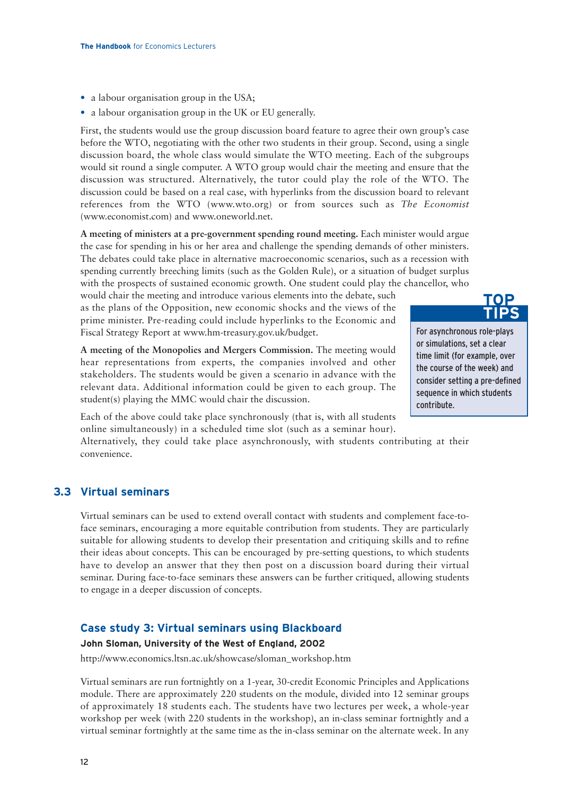- a labour organisation group in the USA;
- a labour organisation group in the UK or EU generally.

First, the students would use the group discussion board feature to agree their own group's case before the WTO, negotiating with the other two students in their group. Second, using a single discussion board, the whole class would simulate the WTO meeting. Each of the subgroups would sit round a single computer. A WTO group would chair the meeting and ensure that the discussion was structured. Alternatively, the tutor could play the role of the WTO. The discussion could be based on a real case, with hyperlinks from the discussion board to relevant references from the WTO (www.wto.org) or from sources such as *The Economist* (www.economist.com) and www.oneworld.net.

**A meeting of ministers at a pre-government spending round meeting.** Each minister would argue the case for spending in his or her area and challenge the spending demands of other ministers. The debates could take place in alternative macroeconomic scenarios, such as a recession with spending currently breeching limits (such as the Golden Rule), or a situation of budget surplus with the prospects of sustained economic growth. One student could play the chancellor, who

> For asynchronous role-plays or simulations, set a clear time limit (for example, over the course of the week) and consider setting a pre-defined sequence in which students

**TOP TIPS**

contribute.

would chair the meeting and introduce various elements into the debate, such as the plans of the Opposition, new economic shocks and the views of the prime minister. Pre-reading could include hyperlinks to the Economic and Fiscal Strategy Report at www.hm-treasury.gov.uk/budget.

**A meeting of the Monopolies and Mergers Commission.** The meeting would hear representations from experts, the companies involved and other stakeholders. The students would be given a scenario in advance with the relevant data. Additional information could be given to each group. The student(s) playing the MMC would chair the discussion.

Each of the above could take place synchronously (that is, with all students online simultaneously) in a scheduled time slot (such as a seminar hour).

Alternatively, they could take place asynchronously, with students contributing at their convenience.

### **3.3 Virtual seminars**

Virtual seminars can be used to extend overall contact with students and complement face-toface seminars, encouraging a more equitable contribution from students. They are particularly suitable for allowing students to develop their presentation and critiquing skills and to refine their ideas about concepts. This can be encouraged by pre-setting questions, to which students have to develop an answer that they then post on a discussion board during their virtual seminar. During face-to-face seminars these answers can be further critiqued, allowing students to engage in a deeper discussion of concepts.

### **Case study 3: Virtual seminars using Blackboard**

#### **John Sloman, University of the West of England, 2002**

http://www.economics.ltsn.ac.uk/showcase/sloman\_workshop.htm

Virtual seminars are run fortnightly on a 1-year, 30-credit Economic Principles and Applications module. There are approximately 220 students on the module, divided into 12 seminar groups of approximately 18 students each. The students have two lectures per week, a whole-year workshop per week (with 220 students in the workshop), an in-class seminar fortnightly and a virtual seminar fortnightly at the same time as the in-class seminar on the alternate week. In any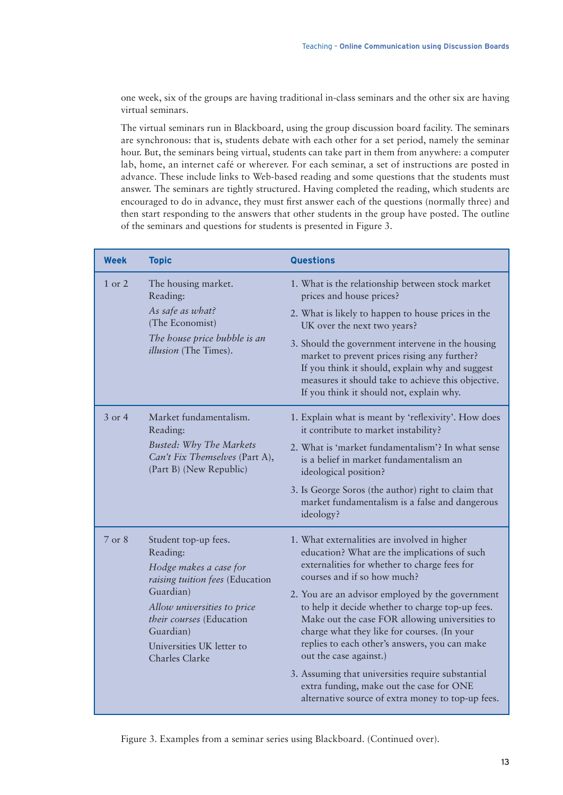one week, six of the groups are having traditional in-class seminars and the other six are having virtual seminars.

The virtual seminars run in Blackboard, using the group discussion board facility. The seminars are synchronous: that is, students debate with each other for a set period, namely the seminar hour. But, the seminars being virtual, students can take part in them from anywhere: a computer lab, home, an internet café or wherever. For each seminar, a set of instructions are posted in advance. These include links to Web-based reading and some questions that the students must answer. The seminars are tightly structured. Having completed the reading, which students are encouraged to do in advance, they must first answer each of the questions (normally three) and then start responding to the answers that other students in the group have posted. The outline of the seminars and questions for students is presented in Figure 3.

| <b>Week</b> | <b>Topic</b>                                                                                                                      | <b>Questions</b>                                                                                                                                                                                                                                                                 |
|-------------|-----------------------------------------------------------------------------------------------------------------------------------|----------------------------------------------------------------------------------------------------------------------------------------------------------------------------------------------------------------------------------------------------------------------------------|
| 1 or 2      | The housing market.<br>Reading:<br>As safe as what?<br>(The Economist)<br>The house price bubble is an<br>illusion (The Times).   | 1. What is the relationship between stock market<br>prices and house prices?<br>2. What is likely to happen to house prices in the<br>UK over the next two years?<br>3. Should the government intervene in the housing                                                           |
|             |                                                                                                                                   | market to prevent prices rising any further?<br>If you think it should, explain why and suggest<br>measures it should take to achieve this objective.<br>If you think it should not, explain why.                                                                                |
| $3$ or 4    | Market fundamentalism.<br>Reading:<br><b>Busted: Why The Markets</b><br>Can't Fix Themselves (Part A),<br>(Part B) (New Republic) | 1. Explain what is meant by 'reflexivity'. How does<br>it contribute to market instability?<br>2. What is 'market fundamentalism'? In what sense<br>is a belief in market fundamentalism an<br>ideological position?                                                             |
|             |                                                                                                                                   | 3. Is George Soros (the author) right to claim that<br>market fundamentalism is a false and dangerous<br>ideology?                                                                                                                                                               |
| 7 or 8      | Student top-up fees.<br>Reading:<br>Hodge makes a case for<br>raising tuition fees (Education                                     | 1. What externalities are involved in higher<br>education? What are the implications of such<br>externalities for whether to charge fees for<br>courses and if so how much?                                                                                                      |
|             | Guardian)<br>Allow universities to price<br>their courses (Education<br>Guardian)<br>Universities UK letter to<br>Charles Clarke  | 2. You are an advisor employed by the government<br>to help it decide whether to charge top-up fees.<br>Make out the case FOR allowing universities to<br>charge what they like for courses. (In your<br>replies to each other's answers, you can make<br>out the case against.) |
|             |                                                                                                                                   | 3. Assuming that universities require substantial<br>extra funding, make out the case for ONE<br>alternative source of extra money to top-up fees.                                                                                                                               |

Figure 3. Examples from a seminar series using Blackboard. (Continued over).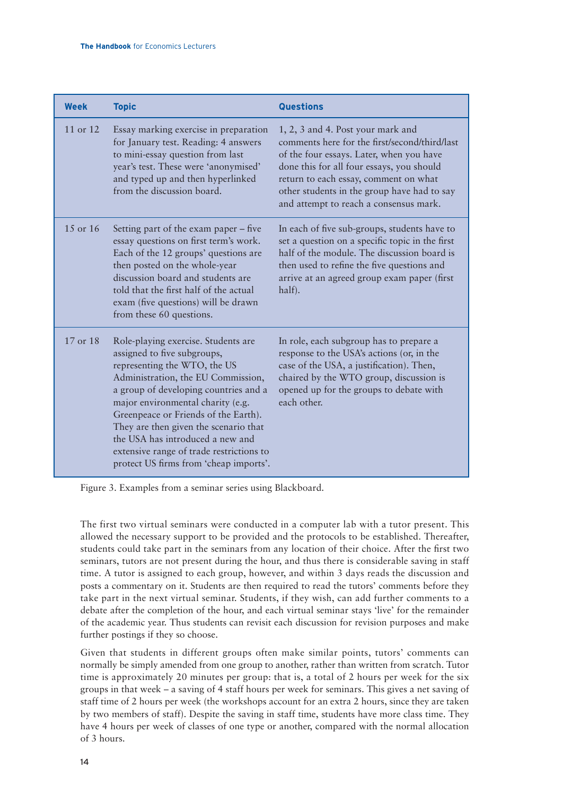| <b>Week</b> | <b>Topic</b>                                                                                                                                                                                                                                                                                                                                                                                                                      | <b>Questions</b>                                                                                                                                                                                                                                                                                              |
|-------------|-----------------------------------------------------------------------------------------------------------------------------------------------------------------------------------------------------------------------------------------------------------------------------------------------------------------------------------------------------------------------------------------------------------------------------------|---------------------------------------------------------------------------------------------------------------------------------------------------------------------------------------------------------------------------------------------------------------------------------------------------------------|
| 11 or 12    | Essay marking exercise in preparation<br>for January test. Reading: 4 answers<br>to mini-essay question from last<br>year's test. These were 'anonymised'<br>and typed up and then hyperlinked<br>from the discussion board.                                                                                                                                                                                                      | 1, 2, 3 and 4. Post your mark and<br>comments here for the first/second/third/last<br>of the four essays. Later, when you have<br>done this for all four essays, you should<br>return to each essay, comment on what<br>other students in the group have had to say<br>and attempt to reach a consensus mark. |
| 15 or 16    | Setting part of the exam paper – five<br>essay questions on first term's work.<br>Each of the 12 groups' questions are<br>then posted on the whole-year<br>discussion board and students are<br>told that the first half of the actual<br>exam (five questions) will be drawn<br>from these 60 questions.                                                                                                                         | In each of five sub-groups, students have to<br>set a question on a specific topic in the first<br>half of the module. The discussion board is<br>then used to refine the five questions and<br>arrive at an agreed group exam paper (first<br>half).                                                         |
| 17 or 18    | Role-playing exercise. Students are<br>assigned to five subgroups,<br>representing the WTO, the US<br>Administration, the EU Commission,<br>a group of developing countries and a<br>major environmental charity (e.g.<br>Greenpeace or Friends of the Earth).<br>They are then given the scenario that<br>the USA has introduced a new and<br>extensive range of trade restrictions to<br>protect US firms from 'cheap imports'. | In role, each subgroup has to prepare a<br>response to the USA's actions (or, in the<br>case of the USA, a justification). Then,<br>chaired by the WTO group, discussion is<br>opened up for the groups to debate with<br>each other.                                                                         |

Figure 3. Examples from a seminar series using Blackboard.

The first two virtual seminars were conducted in a computer lab with a tutor present. This allowed the necessary support to be provided and the protocols to be established. Thereafter, students could take part in the seminars from any location of their choice. After the first two seminars, tutors are not present during the hour, and thus there is considerable saving in staff time. A tutor is assigned to each group, however, and within 3 days reads the discussion and posts a commentary on it. Students are then required to read the tutors' comments before they take part in the next virtual seminar. Students, if they wish, can add further comments to a debate after the completion of the hour, and each virtual seminar stays 'live' for the remainder of the academic year. Thus students can revisit each discussion for revision purposes and make further postings if they so choose.

Given that students in different groups often make similar points, tutors' comments can normally be simply amended from one group to another, rather than written from scratch. Tutor time is approximately 20 minutes per group: that is, a total of 2 hours per week for the six groups in that week – a saving of 4 staff hours per week for seminars. This gives a net saving of staff time of 2 hours per week (the workshops account for an extra 2 hours, since they are taken by two members of staff). Despite the saving in staff time, students have more class time. They have 4 hours per week of classes of one type or another, compared with the normal allocation of 3 hours.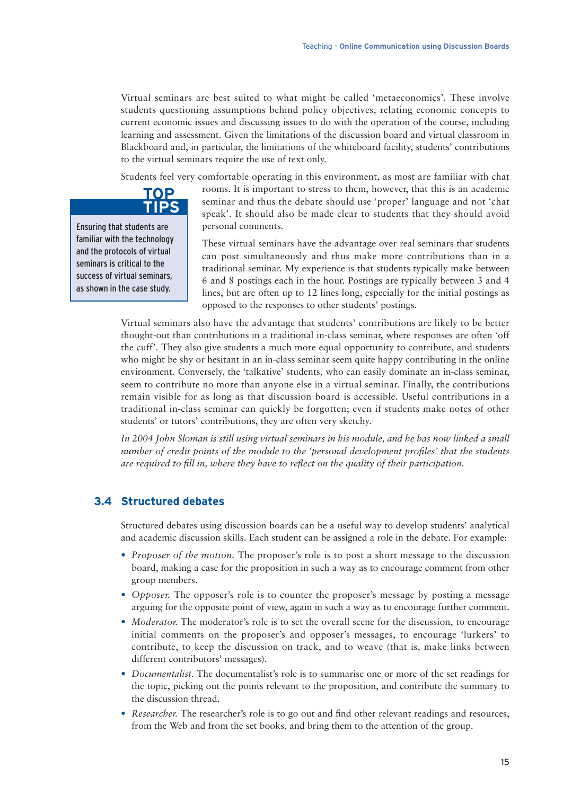Virtual seminars are best suited to what might be called 'metaeconomics'. These involve students questioning assumptions behind policy objectives, relating economic concepts to current economic issues and discussing issues to do with the operation of the course, including learning and assessment. Given the limitations of the discussion board and virtual classroom in Blackboard and, in particular, the limitations of the whiteboard facility, students' contributions to the virtual seminars require the use of text only.

Students feel very comfortable operating in this environment, as most are familiar with chat



Ensuring that students are familiar with the technology and the protocols of virtual seminars is critical to the success of virtual seminars, as shown in the case study.

rooms. It is important to stress to them, however, that this is an academic seminar and thus the debate should use 'proper' language and not 'chat speak'. It should also be made clear to students that they should avoid personal comments.

These virtual seminars have the advantage over real seminars that students can post simultaneously and thus make more contributions than in a traditional seminar. My experience is that students typically make between 6 and 8 postings each in the hour. Postings are typically between 3 and 4 lines, but are often up to 12 lines long, especially for the initial postings as opposed to the responses to other students' postings.

Virtual seminars also have the advantage that students' contributions are likely to be better thought-out than contributions in a traditional in-class seminar, where responses are often 'off the cuff'. They also give students a much more equal opportunity to contribute, and students who might be shy or hesitant in an in-class seminar seem quite happy contributing in the online environment. Conversely, the 'talkative' students, who can easily dominate an in-class seminar, seem to contribute no more than anyone else in a virtual seminar. Finally, the contributions remain visible for as long as that discussion board is accessible. Useful contributions in a traditional in-class seminar can quickly be forgotten; even if students make notes of other students' or tutors' contributions, they are often very sketchy.

*In 2004 John Sloman is still using virtual seminars in his module, and he has now linked a small number of credit points of the module to the 'personal development profiles' that the students are required to fill in, where they have to reflect on the quality of their participation.*

### **3.4 Structured debates**

Structured debates using discussion boards can be a useful way to develop students' analytical and academic discussion skills. Each student can be assigned a role in the debate. For example:

- *Proposer of the motion*. The proposer's role is to post a short message to the discussion board, making a case for the proposition in such a way as to encourage comment from other group members.
- *Opposer.* The opposer's role is to counter the proposer's message by posting a message arguing for the opposite point of view, again in such a way as to encourage further comment.
- *Moderator*. The moderator's role is to set the overall scene for the discussion, to encourage initial comments on the proposer's and opposer's messages, to encourage 'lurkers' to contribute, to keep the discussion on track, and to weave (that is, make links between different contributors' messages).
- *Documentalist.* The documentalist's role is to summarise one or more of the set readings for the topic, picking out the points relevant to the proposition, and contribute the summary to the discussion thread.
- *Researcher.* The researcher's role is to go out and find other relevant readings and resources, from the Web and from the set books, and bring them to the attention of the group.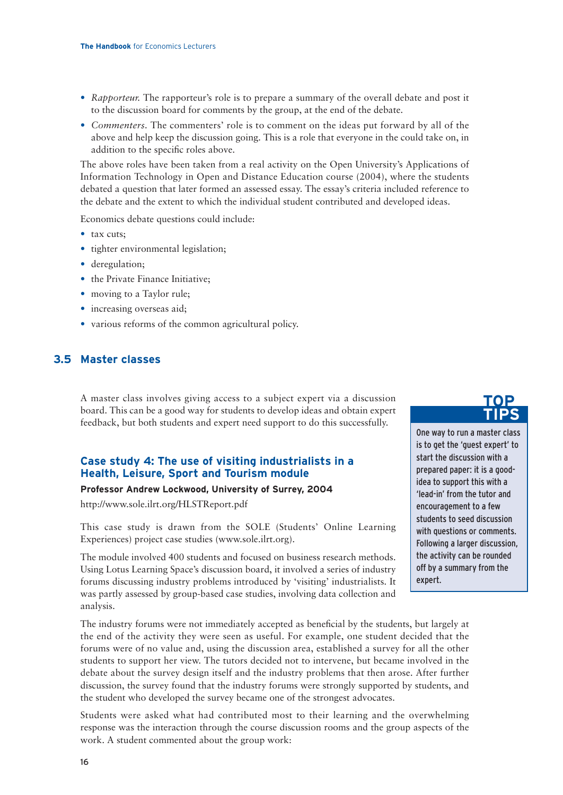- *Rapporteur.* The rapporteur's role is to prepare a summary of the overall debate and post it to the discussion board for comments by the group, at the end of the debate.
- *Commenters.* The commenters' role is to comment on the ideas put forward by all of the above and help keep the discussion going. This is a role that everyone in the could take on, in addition to the specific roles above.

The above roles have been taken from a real activity on the Open University's Applications of Information Technology in Open and Distance Education course (2004), where the students debated a question that later formed an assessed essay. The essay's criteria included reference to the debate and the extent to which the individual student contributed and developed ideas.

Economics debate questions could include:

- tax cuts;
- tighter environmental legislation;
- deregulation;
- the Private Finance Initiative;
- moving to a Taylor rule;
- increasing overseas aid;
- various reforms of the common agricultural policy.

### **3.5 Master classes**

A master class involves giving access to a subject expert via a discussion board. This can be a good way for students to develop ideas and obtain expert feedback, but both students and expert need support to do this successfully.

### **Case study 4: The use of visiting industrialists in a Health, Leisure, Sport and Tourism module**

### **Professor Andrew Lockwood, University of Surrey, 2004**

http://www.sole.ilrt.org/HLSTReport.pdf

This case study is drawn from the SOLE (Students' Online Learning Experiences) project case studies (www.sole.ilrt.org).

The module involved 400 students and focused on business research methods. Using Lotus Learning Space's discussion board, it involved a series of industry forums discussing industry problems introduced by 'visiting' industrialists. It was partly assessed by group-based case studies, involving data collection and analysis.

The industry forums were not immediately accepted as beneficial by the students, but largely at the end of the activity they were seen as useful. For example, one student decided that the forums were of no value and, using the discussion area, established a survey for all the other students to support her view. The tutors decided not to intervene, but became involved in the debate about the survey design itself and the industry problems that then arose. After further discussion, the survey found that the industry forums were strongly supported by students, and the student who developed the survey became one of the strongest advocates.

Students were asked what had contributed most to their learning and the overwhelming response was the interaction through the course discussion rooms and the group aspects of the work. A student commented about the group work:

## **TOP TIPS**

One way to run a master class is to get the 'guest expert' to start the discussion with a prepared paper: it is a goodidea to support this with a 'lead-in' from the tutor and encouragement to a few students to seed discussion with questions or comments. Following a larger discussion, the activity can be rounded off by a summary from the expert.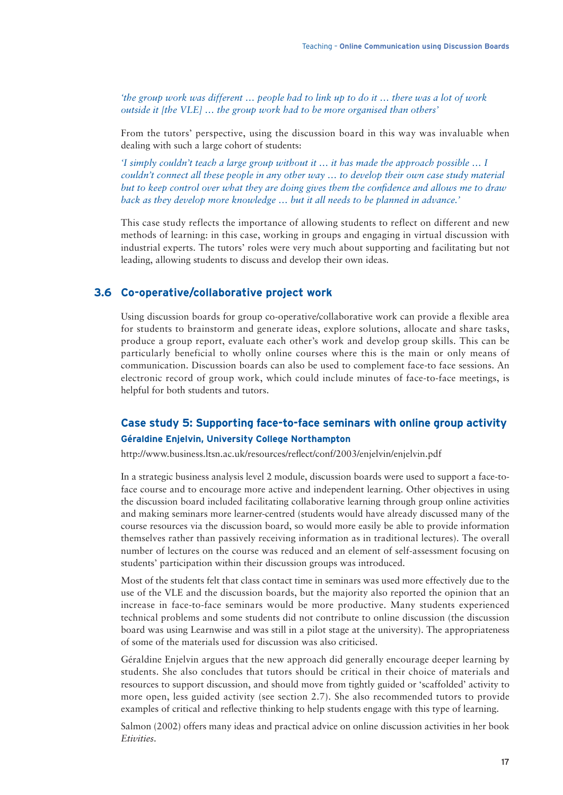*'the group work was different … people had to link up to do it … there was a lot of work outside it [the VLE] … the group work had to be more organised than others'*

From the tutors' perspective, using the discussion board in this way was invaluable when dealing with such a large cohort of students:

*'I simply couldn't teach a large group without it … it has made the approach possible … I couldn't connect all these people in any other way … to develop their own case study material but to keep control over what they are doing gives them the confidence and allows me to draw back as they develop more knowledge … but it all needs to be planned in advance.'*

This case study reflects the importance of allowing students to reflect on different and new methods of learning: in this case, working in groups and engaging in virtual discussion with industrial experts. The tutors' roles were very much about supporting and facilitating but not leading, allowing students to discuss and develop their own ideas.

### **3.6 Co-operative/collaborative project work**

Using discussion boards for group co-operative/collaborative work can provide a flexible area for students to brainstorm and generate ideas, explore solutions, allocate and share tasks, produce a group report, evaluate each other's work and develop group skills. This can be particularly beneficial to wholly online courses where this is the main or only means of communication. Discussion boards can also be used to complement face-to face sessions. An electronic record of group work, which could include minutes of face-to-face meetings, is helpful for both students and tutors.

### **Case study 5: Supporting face-to-face seminars with online group activity Géraldine Enjelvin, University College Northampton**

http://www.business.ltsn.ac.uk/resources/reflect/conf/2003/enjelvin/enjelvin.pdf

In a strategic business analysis level 2 module, discussion boards were used to support a face-toface course and to encourage more active and independent learning. Other objectives in using the discussion board included facilitating collaborative learning through group online activities and making seminars more learner-centred (students would have already discussed many of the course resources via the discussion board, so would more easily be able to provide information themselves rather than passively receiving information as in traditional lectures). The overall number of lectures on the course was reduced and an element of self-assessment focusing on students' participation within their discussion groups was introduced.

Most of the students felt that class contact time in seminars was used more effectively due to the use of the VLE and the discussion boards, but the majority also reported the opinion that an increase in face-to-face seminars would be more productive. Many students experienced technical problems and some students did not contribute to online discussion (the discussion board was using Learnwise and was still in a pilot stage at the university). The appropriateness of some of the materials used for discussion was also criticised.

Géraldine Enjelvin argues that the new approach did generally encourage deeper learning by students. She also concludes that tutors should be critical in their choice of materials and resources to support discussion, and should move from tightly guided or 'scaffolded' activity to more open, less guided activity (see section 2.7). She also recommended tutors to provide examples of critical and reflective thinking to help students engage with this type of learning.

Salmon (2002) offers many ideas and practical advice on online discussion activities in her book *Etivities.*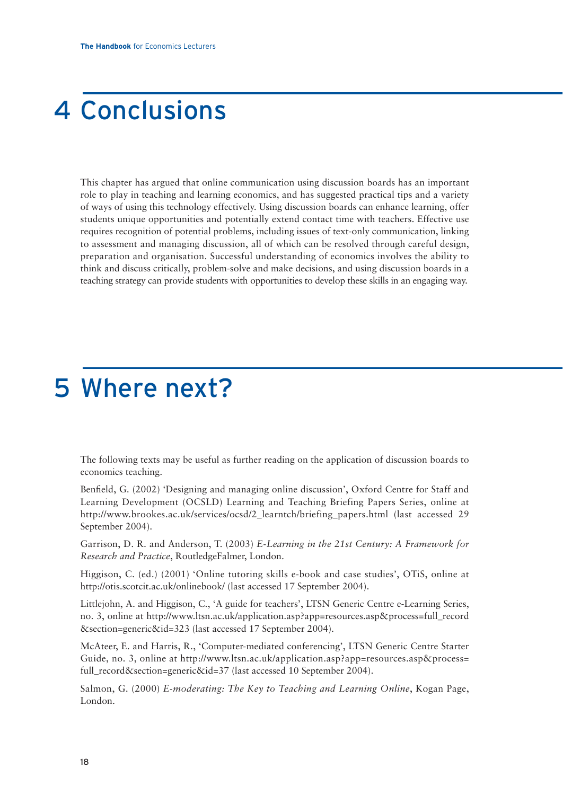## 4 Conclusions

This chapter has argued that online communication using discussion boards has an important role to play in teaching and learning economics, and has suggested practical tips and a variety of ways of using this technology effectively. Using discussion boards can enhance learning, offer students unique opportunities and potentially extend contact time with teachers. Effective use requires recognition of potential problems, including issues of text-only communication, linking to assessment and managing discussion, all of which can be resolved through careful design, preparation and organisation. Successful understanding of economics involves the ability to think and discuss critically, problem-solve and make decisions, and using discussion boards in a teaching strategy can provide students with opportunities to develop these skills in an engaging way.

## 5 Where next?

The following texts may be useful as further reading on the application of discussion boards to economics teaching.

Benfield, G. (2002) 'Designing and managing online discussion', Oxford Centre for Staff and Learning Development (OCSLD) Learning and Teaching Briefing Papers Series, online at http://www.brookes.ac.uk/services/ocsd/2\_learntch/briefing\_papers.html (last accessed 29 September 2004).

Garrison, D. R. and Anderson, T. (2003) *E-Learning in the 21st Century: A Framework for Research and Practice*, RoutledgeFalmer, London.

Higgison, C. (ed.) (2001) 'Online tutoring skills e-book and case studies', OTiS, online at http://otis.scotcit.ac.uk/onlinebook/ (last accessed 17 September 2004).

Littlejohn, A. and Higgison, C., 'A guide for teachers', LTSN Generic Centre e-Learning Series, no. 3, online at http://www.ltsn.ac.uk/application.asp?app=resources.asp&process=full\_record &section=generic&id=323 (last accessed 17 September 2004).

McAteer, E. and Harris, R., 'Computer-mediated conferencing', LTSN Generic Centre Starter Guide, no. 3, online at http://www.ltsn.ac.uk/application.asp?app=resources.asp&process= full\_record&section=generic&id=37 (last accessed 10 September 2004).

Salmon, G. (2000) *E-moderating: The Key to Teaching and Learning Online*, Kogan Page, London.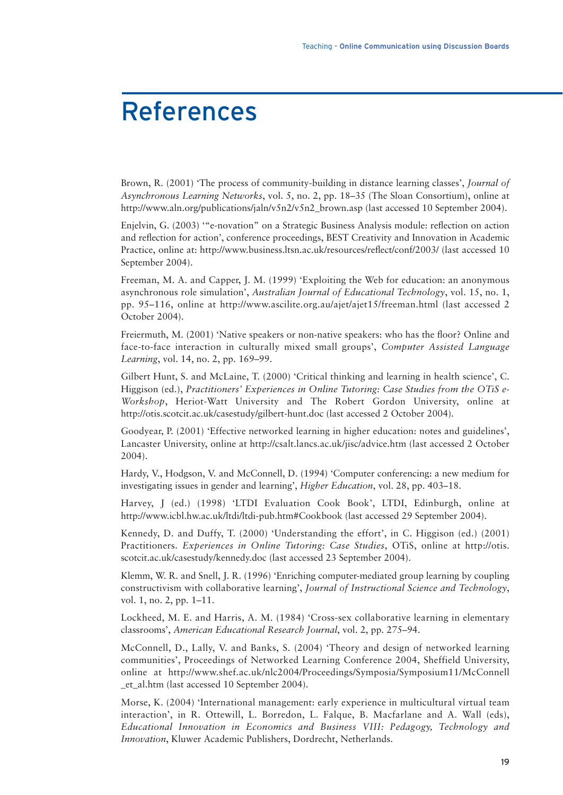## References

Brown, R. (2001) 'The process of community-building in distance learning classes', *Journal of Asynchronous Learning Networks*, vol. 5, no. 2, pp. 18–35 (The Sloan Consortium), online at http://www.aln.org/publications/jaln/v5n2/v5n2\_brown.asp (last accessed 10 September 2004).

Enjelvin, G. (2003) '"e-novation" on a Strategic Business Analysis module: reflection on action and reflection for action', conference proceedings, BEST Creativity and Innovation in Academic Practice, online at: http://www.business.ltsn.ac.uk/resources/reflect/conf/2003/ (last accessed 10 September 2004).

Freeman, M. A. and Capper, J. M. (1999) 'Exploiting the Web for education: an anonymous asynchronous role simulation', *Australian Journal of Educational Technology*, vol. 15, no. 1, pp. 95–116, online at http://www.ascilite.org.au/ajet/ajet15/freeman.html (last accessed 2 October 2004).

Freiermuth, M. (2001) 'Native speakers or non-native speakers: who has the floor? Online and face-to-face interaction in culturally mixed small groups', *Computer Assisted Language Learning*, vol. 14, no. 2, pp. 169–99.

Gilbert Hunt, S. and McLaine, T. (2000) 'Critical thinking and learning in health science', C. Higgison (ed.), *Practitioners' Experiences in Online Tutoring: Case Studies from the OTiS e-Workshop*, Heriot-Watt University and The Robert Gordon University, online at http://otis.scotcit.ac.uk/casestudy/gilbert-hunt.doc (last accessed 2 October 2004).

Goodyear, P. (2001) 'Effective networked learning in higher education: notes and guidelines', Lancaster University, online at http://csalt.lancs.ac.uk/jisc/advice.htm (last accessed 2 October 2004).

Hardy, V., Hodgson, V. and McConnell, D. (1994) 'Computer conferencing: a new medium for investigating issues in gender and learning', *Higher Education*, vol. 28, pp. 403–18.

Harvey, J (ed.) (1998) 'LTDI Evaluation Cook Book', LTDI, Edinburgh, online at http://www.icbl.hw.ac.uk/ltdi/ltdi-pub.htm#Cookbook (last accessed 29 September 2004).

Kennedy, D. and Duffy, T. (2000) 'Understanding the effort', in C. Higgison (ed.) (2001) Practitioners. *Experiences in Online Tutoring: Case Studies*, OTiS, online at http://otis. scotcit.ac.uk/casestudy/kennedy.doc (last accessed 23 September 2004).

Klemm, W. R. and Snell, J. R. (1996) 'Enriching computer-mediated group learning by coupling constructivism with collaborative learning', *Journal of Instructional Science and Technology*, vol. 1, no. 2, pp. 1–11.

Lockheed, M. E. and Harris, A. M. (1984) 'Cross-sex collaborative learning in elementary classrooms', *American Educational Research Journal*, vol. 2, pp. 275–94.

McConnell, D., Lally, V. and Banks, S. (2004) 'Theory and design of networked learning communities', Proceedings of Networked Learning Conference 2004, Sheffield University, online at http://www.shef.ac.uk/nlc2004/Proceedings/Symposia/Symposium11/McConnell \_et\_al.htm (last accessed 10 September 2004).

Morse, K. (2004) 'International management: early experience in multicultural virtual team interaction', in R. Ottewill, L. Borredon, L. Falque, B. Macfarlane and A. Wall (eds), *Educational Innovation in Economics and Business VIII: Pedagogy, Technology and Innovation*, Kluwer Academic Publishers, Dordrecht, Netherlands.